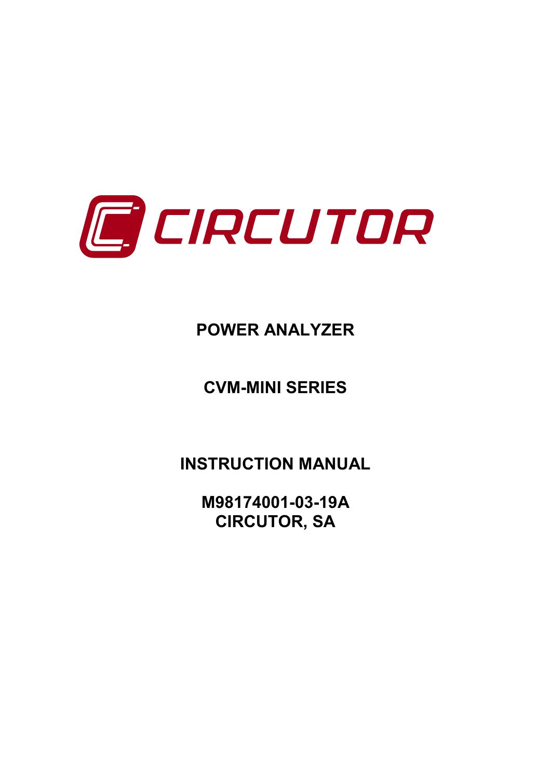

# **POWER ANALYZER**

# **CVM-MINI SERIES**

**INSTRUCTION MANUAL**

**M98174001-03-19A CIRCUTOR, SA**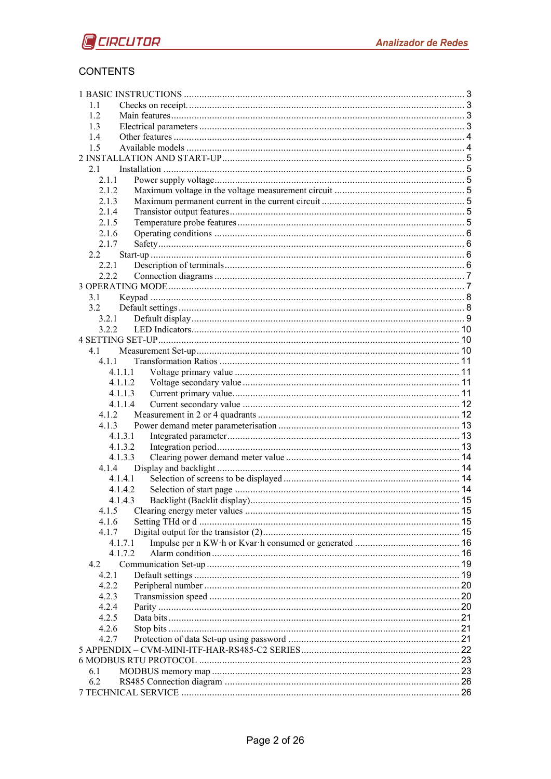### **CONTENTS**

| 11             |                    |  |  |  |
|----------------|--------------------|--|--|--|
| 1.2            |                    |  |  |  |
| 1.3            |                    |  |  |  |
| 1.4            |                    |  |  |  |
| 1.5            |                    |  |  |  |
|                |                    |  |  |  |
| 2.1            |                    |  |  |  |
| 2.1.1          |                    |  |  |  |
| 2.1.2          |                    |  |  |  |
| 2.1.3          |                    |  |  |  |
| 2.1.4          |                    |  |  |  |
| 2.1.5<br>2.1.6 |                    |  |  |  |
| 2.1.7          |                    |  |  |  |
| 2.2            |                    |  |  |  |
| 2.2.1          |                    |  |  |  |
| 2.2.2          |                    |  |  |  |
|                |                    |  |  |  |
| 3.1            |                    |  |  |  |
| 3.2            |                    |  |  |  |
| 3.2.1          |                    |  |  |  |
| 3.2.2          |                    |  |  |  |
|                |                    |  |  |  |
| 4.1            |                    |  |  |  |
| 411            |                    |  |  |  |
|                | 4.1.1.1            |  |  |  |
|                | 4.1.1.2            |  |  |  |
|                | 4.1.1.3            |  |  |  |
|                | 4.1.1.4            |  |  |  |
| 4.1.2          |                    |  |  |  |
| 4.1.3          |                    |  |  |  |
|                | 4.1.3.1            |  |  |  |
|                | 4.1.3.2            |  |  |  |
|                | 4.1.3.3            |  |  |  |
| 4.1.4          |                    |  |  |  |
|                | 4.1.4.1            |  |  |  |
|                | 4.1.4.2            |  |  |  |
|                | 4.1.4.3            |  |  |  |
| 4.1.5          |                    |  |  |  |
| 4.1.6          |                    |  |  |  |
| 4.1.7          |                    |  |  |  |
|                | 4.1.7.1<br>4 1 7 2 |  |  |  |
| 4.2            |                    |  |  |  |
| 4.2.1          |                    |  |  |  |
| 4.2.2          |                    |  |  |  |
| 4.2.3          |                    |  |  |  |
| 4.2.4          |                    |  |  |  |
| 4.2.5          |                    |  |  |  |
| 4.2.6          |                    |  |  |  |
| 4.2.7          |                    |  |  |  |
|                |                    |  |  |  |
|                |                    |  |  |  |
| 6.1            |                    |  |  |  |
| 6.2            |                    |  |  |  |
|                |                    |  |  |  |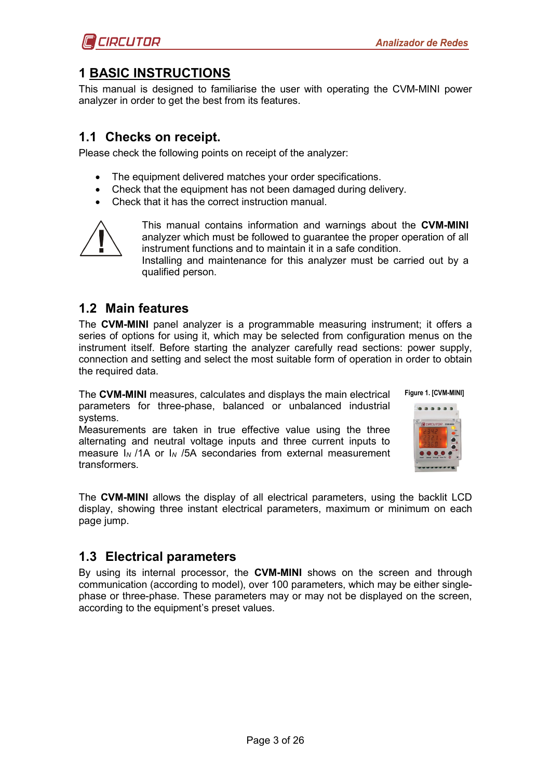

# <span id="page-2-0"></span>**1 BASIC INSTRUCTIONS**

This manual is designed to familiarise the user with operating the CVM-MINI power analyzer in order to get the best from its features.

### <span id="page-2-1"></span>**1.1 Checks on receipt.**

Please check the following points on receipt of the analyzer:

- The equipment delivered matches your order specifications.
- Check that the equipment has not been damaged during delivery.
- Check that it has the correct instruction manual.



This manual contains information and warnings about the **CVM-MINI** analyzer which must be followed to guarantee the proper operation of all instrument functions and to maintain it in a safe condition.

Installing and maintenance for this analyzer must be carried out by a qualified person.

# <span id="page-2-2"></span>**1.2 Main features**

The **CVM-MINI** panel analyzer is a programmable measuring instrument; it offers a series of options for using it, which may be selected from configuration menus on the instrument itself. Before starting the analyzer carefully read sections: power supply, connection and setting and select the most suitable form of operation in order to obtain the required data.

The **CVM-MINI** measures, calculates and displays the main electrical parameters for three-phase, balanced or unbalanced industrial systems.

Measurements are taken in true effective value using the three alternating and neutral voltage inputs and three current inputs to measure I*N* /1A or I*<sup>N</sup>* /5A secondaries from external measurement transformers.



**Figure 1. [CVM-MINI]**

The **CVM-MINI** allows the display of all electrical parameters, using the backlit LCD display, showing three instant electrical parameters, maximum or minimum on each page jump.

# <span id="page-2-3"></span>**1.3 Electrical parameters**

By using its internal processor, the **CVM-MINI** shows on the screen and through communication (according to model), over 100 parameters, which may be either singlephase or three-phase. These parameters may or may not be displayed on the screen, according to the equipment's preset values.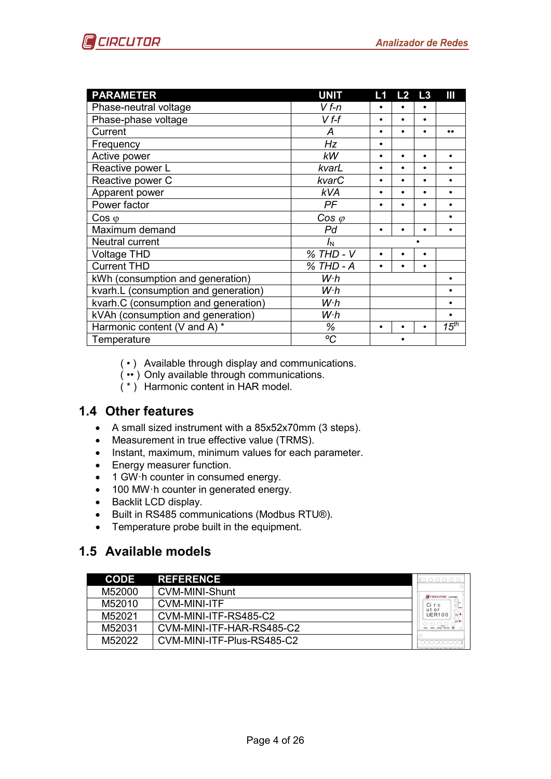

| <b>PARAMETER</b>                     | <b>UNIT</b>    | L1        | L2        | L3        | Ш         |
|--------------------------------------|----------------|-----------|-----------|-----------|-----------|
| Phase-neutral voltage                | $Vf-n$         |           |           |           |           |
| Phase-phase voltage                  | $Vf-f$         | $\bullet$ | $\bullet$ | $\bullet$ |           |
| Current                              | A              |           | $\bullet$ |           |           |
| Frequency                            | Hz             | $\bullet$ |           |           |           |
| Active power                         | <b>kW</b>      | $\bullet$ | $\bullet$ | $\bullet$ | $\bullet$ |
| Reactive power L                     | kvarL          | $\bullet$ | $\bullet$ |           |           |
| Reactive power C                     | kvarC          | ٠         | $\bullet$ | $\bullet$ |           |
| Apparent power                       | <b>kVA</b>     | $\bullet$ | $\bullet$ | $\bullet$ | $\bullet$ |
| Power factor                         | PF             | $\bullet$ | $\bullet$ | $\bullet$ |           |
| $\cos \varphi$                       | $\cos \varphi$ |           |           |           |           |
| Maximum demand                       | Pd             | $\bullet$ |           |           |           |
| Neutral current                      | $I_{\rm N}$    |           |           |           |           |
| <b>Voltage THD</b>                   | % THD - V      |           | $\bullet$ | $\bullet$ |           |
| <b>Current THD</b>                   | % THD - A      | $\bullet$ | $\bullet$ | $\bullet$ |           |
| kWh (consumption and generation)     | W <sub>h</sub> |           |           |           |           |
| kvarh.L (consumption and generation) | W <sub>h</sub> |           |           |           |           |
| kvarh.C (consumption and generation) | W·h            |           |           |           |           |
| kVAh (consumption and generation)    | W <sub>h</sub> |           |           |           | $\bullet$ |
| Harmonic content (V and A) *         | ℅              | $\bullet$ |           |           | $15^{th}$ |
| Temperature                          | °C             |           |           |           |           |

- ( ) Available through display and communications.
- ( •• ) Only available through communications.
- ( \* ) Harmonic content in HAR model.

# <span id="page-3-0"></span>**1.4 Other features**

- A small sized instrument with a 85x52x70mm (3 steps).
- Measurement in true effective value (TRMS).
- Instant, maximum, minimum values for each parameter.
- Energy measurer function.
- 1 GW h counter in consumed energy.
- 100 MW·h counter in generated energy.
- Backlit LCD display.
- Built in RS485 communications (Modbus RTU®).
- Temperature probe built in the equipment.

# <span id="page-3-1"></span>**1.5 Available models**

| <b>CODE</b> | <b>REFERENCE</b>           |                         |
|-------------|----------------------------|-------------------------|
| M52000      | <b>CVM-MINI-Shunt</b>      | <b>RECIRCUTOR</b> CYMMN |
| M52010      | <b>CVM-MINI-ITF</b>        | Circ<br>ut or           |
| M52021      | CVM-MINI-ITF-RS485-C2      | <b>UER100</b>           |
| M52031      | CVM-MINI-ITF-HAR-RS485-C2  |                         |
| M52022      | CVM-MINI-ITF-Plus-RS485-C2 |                         |
|             |                            |                         |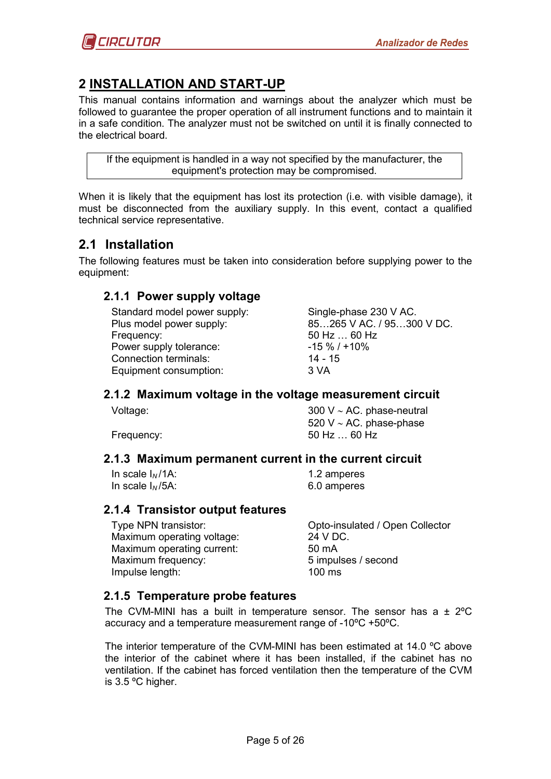# <span id="page-4-0"></span>**2 INSTALLATION AND START-UP**

This manual contains information and warnings about the analyzer which must be followed to guarantee the proper operation of all instrument functions and to maintain it in a safe condition. The analyzer must not be switched on until it is finally connected to the electrical board.

If the equipment is handled in a way not specified by the manufacturer, the equipment's protection may be compromised.

When it is likely that the equipment has lost its protection (i.e. with visible damage), it must be disconnected from the auxiliary supply. In this event, contact a qualified technical service representative.

# <span id="page-4-1"></span>**2.1 Installation**

<span id="page-4-2"></span>The following features must be taken into consideration before supplying power to the equipment:

### **2.1.1 Power supply voltage**

Standard model power supply: Single-phase 230 V AC. Frequency: 50 Hz ... 60 Hz<br>Power supply tolerance: 50 Hz -15 % / +10 % Power supply tolerance: Connection terminals: 14 - 15 Equipment consumption: 3 VA

Plus model power supply: 85…265 V AC. / 95…300 V DC.

#### <span id="page-4-3"></span>**2.1.2 Maximum voltage in the voltage measurement circuit**

Voltage: 300 V ∼ AC. phase-neutral 520 V ∼ AC. phase-phase Frequency: 50 Hz ... 60 Hz

#### <span id="page-4-4"></span>**2.1.3 Maximum permanent current in the current circuit**

In scale  $I<sub>N</sub>$ /1A: 1.2 amperes In scale I*N* /5A: 6.0 amperes

### <span id="page-4-5"></span>**2.1.4 Transistor output features**

Maximum operating voltage: 24 V DC. Maximum operating current: 50 mA Maximum frequency: 6 and 5 impulses / second Impulse length: 100 ms

Type NPN transistor: Opto-insulated / Open Collector

# <span id="page-4-6"></span>**2.1.5 Temperature probe features**

The CVM-MINI has a built in temperature sensor. The sensor has a  $\pm$  2°C accuracy and a temperature measurement range of -10ºC +50ºC.

The interior temperature of the CVM-MINI has been estimated at 14.0 ºC above the interior of the cabinet where it has been installed, if the cabinet has no ventilation. If the cabinet has forced ventilation then the temperature of the CVM is 3.5 ºC higher.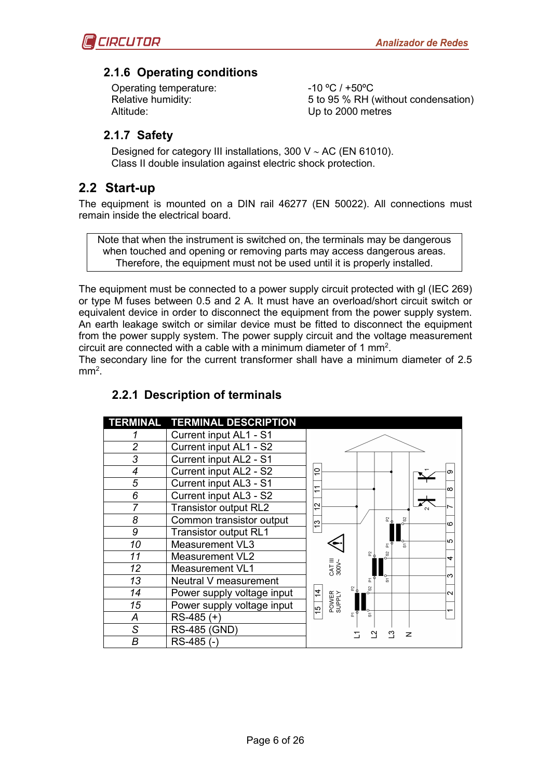

### <span id="page-5-0"></span>**2.1.6 Operating conditions**

Operating temperature:  $-10 °C / +50 °C$ Altitude: Up to 2000 metres

Relative humidity:  $5 to 95 % RH (without condensation)$ 

### <span id="page-5-1"></span>**2.1.7 Safety**

Designed for category III installations, 300 V ∼ AC (EN 61010). Class II double insulation against electric shock protection.

# <span id="page-5-2"></span>**2.2 Start-up**

The equipment is mounted on a DIN rail 46277 (EN 50022). All connections must remain inside the electrical board.

Note that when the instrument is switched on, the terminals may be dangerous when touched and opening or removing parts may access dangerous areas. Therefore, the equipment must not be used until it is properly installed.

The equipment must be connected to a power supply circuit protected with gl (IEC 269) or type M fuses between 0.5 and 2 A. It must have an overload/short circuit switch or equivalent device in order to disconnect the equipment from the power supply system. An earth leakage switch or similar device must be fitted to disconnect the equipment from the power supply system. The power supply circuit and the voltage measurement circuit are connected with a cable with a minimum diameter of 1 mm<sup>2</sup>.

<span id="page-5-3"></span>The secondary line for the current transformer shall have a minimum diameter of 2.5  $mm<sup>2</sup>$ .

|                          | TERMINAL TERMINAL DESCRIPTION |                                    |
|--------------------------|-------------------------------|------------------------------------|
|                          | Current input AL1 - S1        |                                    |
| $\overline{c}$           | Current input AL1 - S2        |                                    |
| 3                        | Current input AL2 - S1        |                                    |
| 4                        | Current input AL2 - S2        | $\circ$<br>$\overline{ }$          |
| 5                        | Current input AL3 - S1        | ↽<br>∞                             |
| 6                        | Current input AL3 - S2        | $\overline{ }$                     |
| 7                        | <b>Transistor output RL2</b>  | $\sim$<br>$\overline{\phantom{0}}$ |
| 8                        | Common transistor output      | 51<br>ି<br>က<br>ဖ                  |
| 9                        | <b>Transistor output RL1</b>  |                                    |
| 10                       | <b>Measurement VL3</b>        | ഗ                                  |
| 11                       | <b>Measurement VL2</b>        | 55<br>↽                            |
| 12                       | <b>Measurement VL1</b>        | CAT III<br>300V~                   |
| 13                       | Neutral V measurement         | ო<br>ត<br>冨                        |
| 14                       | Power supply voltage input    | 요 ,<br>$\overline{4}$<br>N         |
| 15                       | Power supply voltage input    | POWER<br>SUPPLY<br>မာ              |
| А                        | $RS-485 (+)$                  | ՟<br>5                             |
| $\overline{\mathcal{S}}$ | <b>RS-485 (GND)</b>           | z                                  |
| B                        | RS-485 (-)                    |                                    |

### **2.2.1 Description of terminals**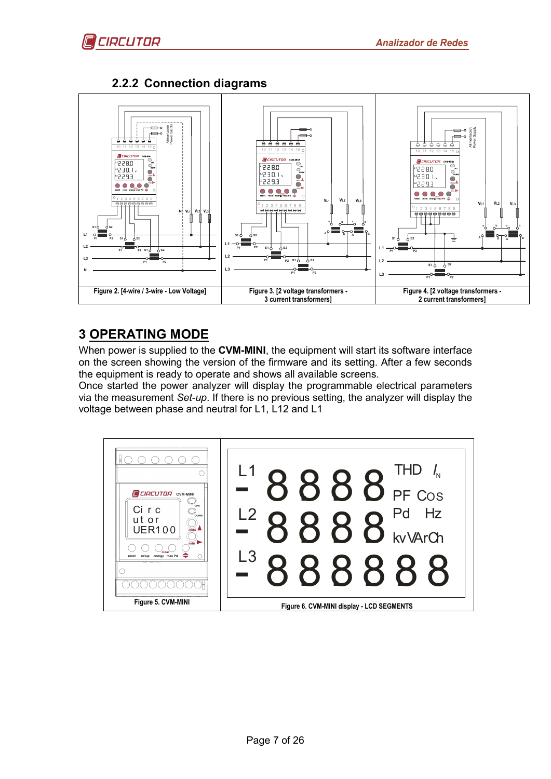

# **2.2.2 Connection diagrams**

<span id="page-6-0"></span>

# <span id="page-6-1"></span>**3 OPERATING MODE**

When power is supplied to the **CVM-MINI**, the equipment will start its software interface on the screen showing the version of the firmware and its setting. After a few seconds the equipment is ready to operate and shows all available screens.

Once started the power analyzer will display the programmable electrical parameters via the measurement *Set-up*. If there is no previous setting, the analyzer will display the voltage between phase and neutral for L1, L12 and L1

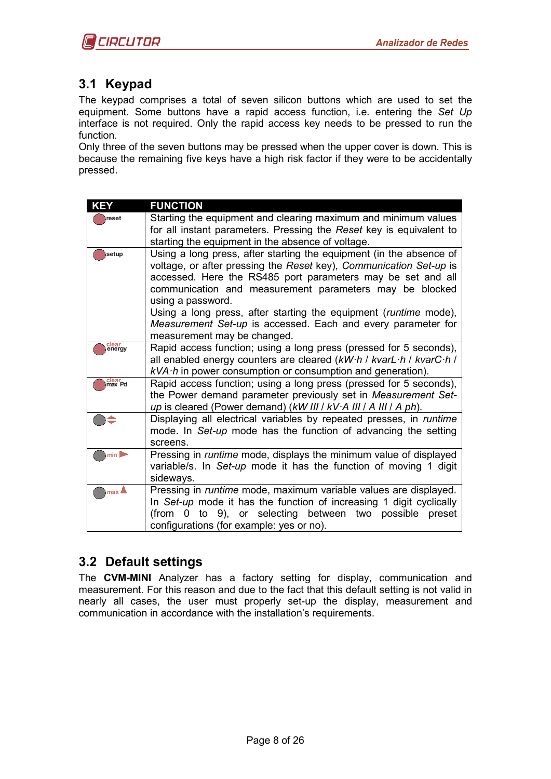# <span id="page-7-0"></span>**3.1 Keypad**

The keypad comprises a total of seven silicon buttons which are used to set the equipment. Some buttons have a rapid access function, i.e. entering the *Set Up* interface is not required. Only the rapid access key needs to be pressed to run the function.

Only three of the seven buttons may be pressed when the upper cover is down. This is because the remaining five keys have a high risk factor if they were to be accidentally pressed.

| <b>KEY</b>        | <b>FUNCTION</b>                                                                                                                                                                                                                                                                          |
|-------------------|------------------------------------------------------------------------------------------------------------------------------------------------------------------------------------------------------------------------------------------------------------------------------------------|
| reset             | Starting the equipment and clearing maximum and minimum values                                                                                                                                                                                                                           |
|                   | for all instant parameters. Pressing the Reset key is equivalent to                                                                                                                                                                                                                      |
|                   | starting the equipment in the absence of voltage.                                                                                                                                                                                                                                        |
| setup             | Using a long press, after starting the equipment (in the absence of<br>voltage, or after pressing the Reset key), Communication Set-up is<br>accessed. Here the RS485 port parameters may be set and all<br>communication and measurement parameters may be blocked<br>using a password. |
|                   | Using a long press, after starting the equipment ( <i>runtime</i> mode),<br>Measurement Set-up is accessed. Each and every parameter for<br>measurement may be changed.                                                                                                                  |
| clear<br>energy   | Rapid access function; using a long press (pressed for 5 seconds),<br>all enabled energy counters are cleared (kW·h / kvarL·h / kvarC·h /<br>$kVA \cdot h$ in power consumption or consumption and generation).                                                                          |
| clear<br>max Pd   | Rapid access function; using a long press (pressed for 5 seconds),<br>the Power demand parameter previously set in Measurement Set-<br>up is cleared (Power demand) (kW III / kV·A III / A III / A ph).                                                                                  |
|                   | Displaying all electrical variables by repeated presses, in runtime<br>mode. In Set-up mode has the function of advancing the setting<br>screens.                                                                                                                                        |
| min               | Pressing in runtime mode, displays the minimum value of displayed<br>variable/s. In Set-up mode it has the function of moving 1 digit<br>sideways.                                                                                                                                       |
| $max$ $\triangle$ | Pressing in runtime mode, maximum variable values are displayed.<br>In Set-up mode it has the function of increasing 1 digit cyclically<br>to 9), or selecting between two possible preset<br>$(from \ 0$<br>configurations (for example: yes or no).                                    |

# <span id="page-7-1"></span>**3.2 Default settings**

The **CVM-MINI** Analyzer has a factory setting for display, communication and measurement. For this reason and due to the fact that this default setting is not valid in nearly all cases, the user must properly set-up the display, measurement and communication in accordance with the installation's requirements.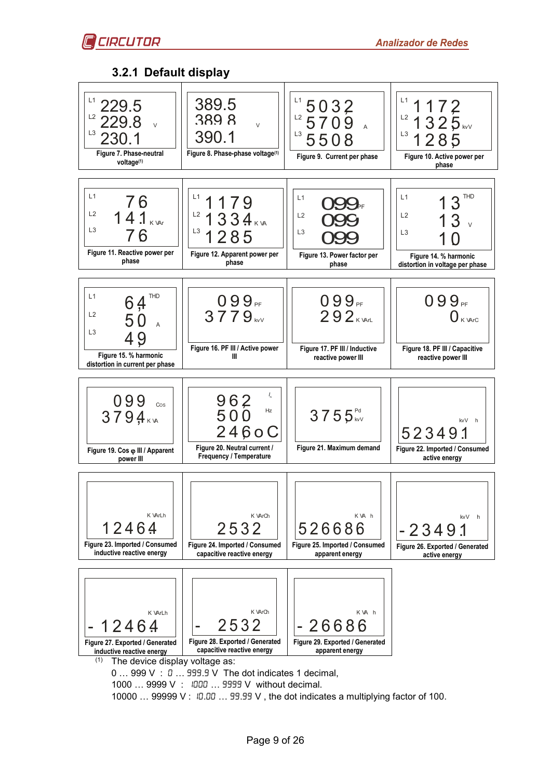

### **3.2.1 Default display**

<span id="page-8-0"></span>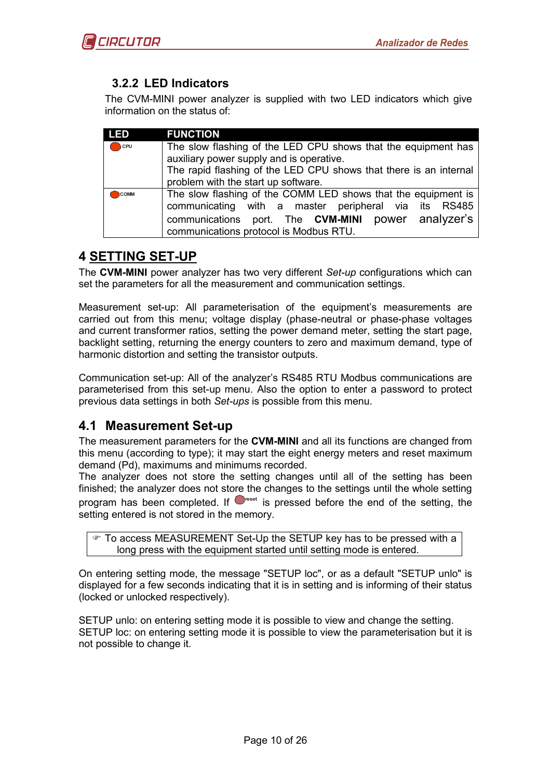# <span id="page-9-0"></span>**3.2.2 LED Indicators**

The CVM-MINI power analyzer is supplied with two LED indicators which give information on the status of:

| <b>LED</b>     | <b>FUNCTION</b>                                                   |  |  |  |  |
|----------------|-------------------------------------------------------------------|--|--|--|--|
| $\bigcirc$ CPU | The slow flashing of the LED CPU shows that the equipment has     |  |  |  |  |
|                | auxiliary power supply and is operative.                          |  |  |  |  |
|                | The rapid flashing of the LED CPU shows that there is an internal |  |  |  |  |
|                | problem with the start up software.                               |  |  |  |  |
| <b>COMM</b>    | The slow flashing of the COMM LED shows that the equipment is     |  |  |  |  |
|                | communicating with a master peripheral via its RS485              |  |  |  |  |
|                | communications port. The CVM-MINI power analyzer's                |  |  |  |  |
|                | communications protocol is Modbus RTU.                            |  |  |  |  |

# <span id="page-9-1"></span>**4 SETTING SET-UP**

The **CVM-MINI** power analyzer has two very different *Set-up* configurations which can set the parameters for all the measurement and communication settings.

Measurement set-up: All parameterisation of the equipment's measurements are carried out from this menu; voltage display (phase-neutral or phase-phase voltages and current transformer ratios, setting the power demand meter, setting the start page, backlight setting, returning the energy counters to zero and maximum demand, type of harmonic distortion and setting the transistor outputs.

Communication set-up: All of the analyzer's RS485 RTU Modbus communications are parameterised from this set-up menu. Also the option to enter a password to protect previous data settings in both *Set-ups* is possible from this menu.

# <span id="page-9-2"></span>**4.1 Measurement Set-up**

The measurement parameters for the **CVM-MINI** and all its functions are changed from this menu (according to type); it may start the eight energy meters and reset maximum demand (Pd), maximums and minimums recorded.

The analyzer does not store the setting changes until all of the setting has been finished; the analyzer does not store the changes to the settings until the whole setting program has been completed. If  $\Box^{\text{rest}}$  is pressed before the end of the setting, the setting entered is not stored in the memory.

To access MEASUREMENT Set-Up the SETUP key has to be pressed with a long press with the equipment started until setting mode is entered.

On entering setting mode, the message "SETUP loc", or as a default "SETUP unlo" is displayed for a few seconds indicating that it is in setting and is informing of their status (locked or unlocked respectively).

SETUP unlo: on entering setting mode it is possible to view and change the setting. SETUP loc: on entering setting mode it is possible to view the parameterisation but it is not possible to change it.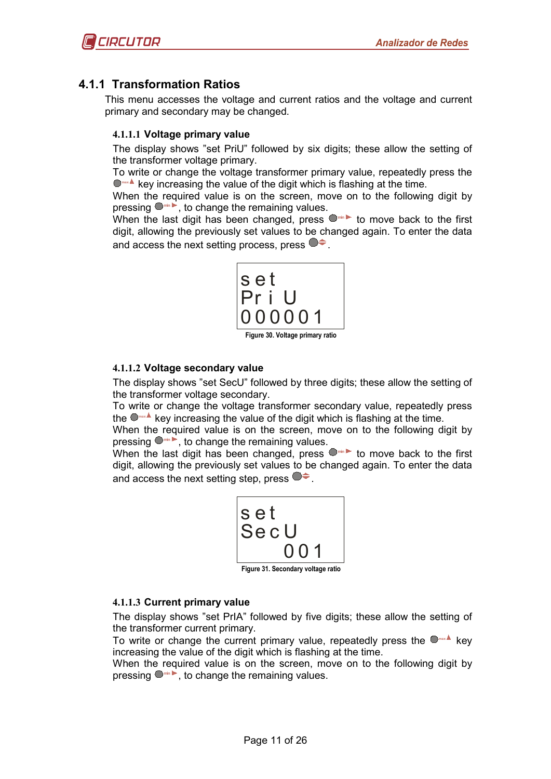### <span id="page-10-0"></span>**4.1.1 Transformation Ratios**

<span id="page-10-1"></span>This menu accesses the voltage and current ratios and the voltage and current primary and secondary may be changed.

#### **4.1.1.1 Voltage primary value**

The display shows "set PriU" followed by six digits; these allow the setting of the transformer voltage primary.

To write or change the voltage transformer primary value, repeatedly press the **O** max **A** key increasing the value of the digit which is flashing at the time.

When the required value is on the screen, move on to the following digit by pressing **min** , to change the remaining values.

When the last digit has been changed, press  $\bullet$  in to move back to the first digit, allowing the previously set values to be changed again. To enter the data and access the next setting process, press  $\bullet\bullet$ .



#### <span id="page-10-2"></span>**4.1.1.2 Voltage secondary value**

The display shows "set SecU" followed by three digits; these allow the setting of the transformer voltage secondary.

To write or change the voltage transformer secondary value, repeatedly press the **max** key increasing the value of the digit which is flashing at the time.

When the required value is on the screen, move on to the following digit by pressing **min** , to change the remaining values.

When the last digit has been changed, press  $\bullet$  in to move back to the first digit, allowing the previously set values to be changed again. To enter the data and access the next setting step, press  $\bullet \bullet$ .



**Figure 31. Secondary voltage ratio**

#### <span id="page-10-3"></span>**4.1.1.3 Current primary value**

The display shows "set PrIA" followed by five digits; these allow the setting of the transformer current primary.

To write or change the current primary value, repeatedly press the **max** key increasing the value of the digit which is flashing at the time.

When the required value is on the screen, move on to the following digit by pressing **min** , to change the remaining values.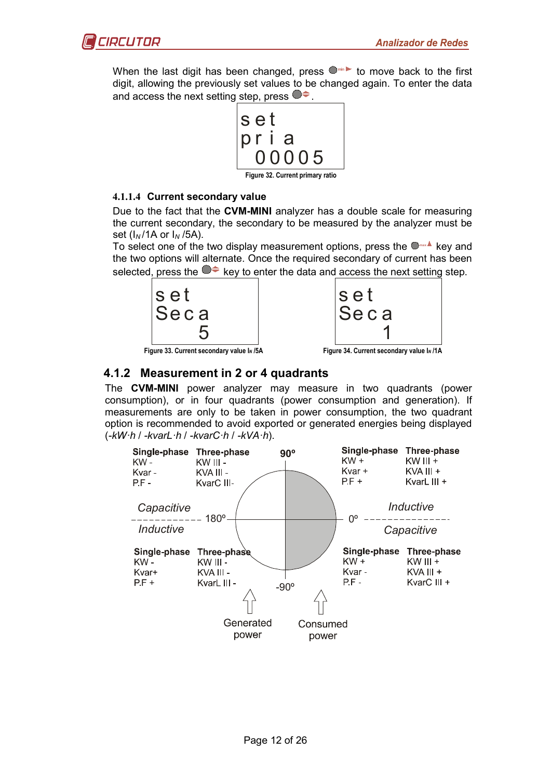

When the last digit has been changed, press  $\bullet$ <sup>min</sup> to move back to the first digit, allowing the previously set values to be changed again. To enter the data and access the next setting step, press  $\bullet\bullet$ .



**Figure 32. Current primary ratio**

#### <span id="page-11-0"></span>**4.1.1.4 Current secondary value**

Due to the fact that the **CVM-MINI** analyzer has a double scale for measuring the current secondary, the secondary to be measured by the analyzer must be set (I*N* /1A or I*<sup>N</sup>* /5A).

To select one of the two display measurement options, press the **max** key and the two options will alternate. Once the required secondary of current has been selected, press the  $\bullet \leftarrow$  key to enter the data and access the next setting step.





<span id="page-11-1"></span>**Figure 33. Current secondary value I***<sup>N</sup>* **/5A Figure 34. Current secondary value I***<sup>N</sup>* **/1A**

# **4.1.2 Measurement in 2 or 4 quadrants**

The **CVM-MINI** power analyzer may measure in two quadrants (power consumption), or in four quadrants (power consumption and generation). If measurements are only to be taken in power consumption, the two quadrant option is recommended to avoid exported or generated energies being displayed (*-kW·h* / *-kvarL·h* / *-kvarC·h* / *-kVA·h*).

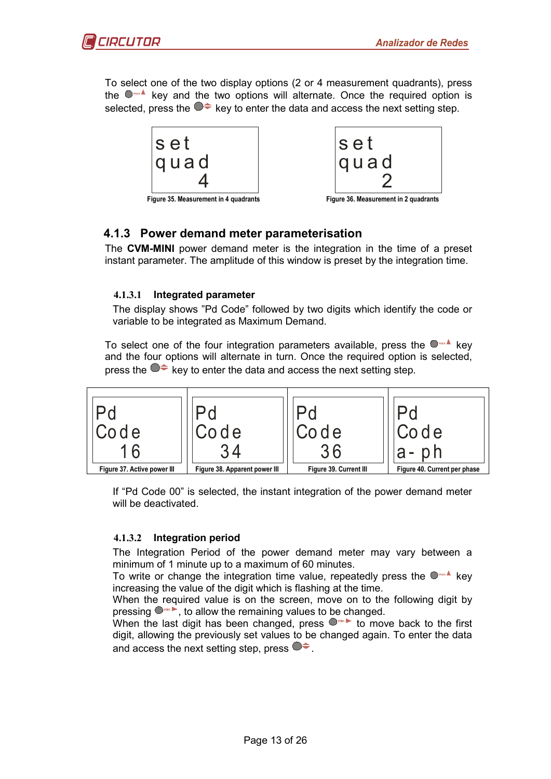

To select one of the two display options (2 or 4 measurement quadrants), press the **max** key and the two options will alternate. Once the required option is selected, press the  $\bullet \bullet$  key to enter the data and access the next setting step.



# <span id="page-12-0"></span>**4.1.3 Power demand meter parameterisation**

The **CVM-MINI** power demand meter is the integration in the time of a preset instant parameter. The amplitude of this window is preset by the integration time.

#### <span id="page-12-1"></span>**4.1.3.1 Integrated parameter**

The display shows "Pd Code" followed by two digits which identify the code or variable to be integrated as Maximum Demand.

To select one of the four integration parameters available, press the **max** key and the four options will alternate in turn. Once the required option is selected, press the  $\bullet\bullet$  key to enter the data and access the next setting step.



If "Pd Code 00" is selected, the instant integration of the power demand meter will be deactivated.

#### <span id="page-12-2"></span>**4.1.3.2 Integration period**

The Integration Period of the power demand meter may vary between a minimum of 1 minute up to a maximum of 60 minutes.

To write or change the integration time value, repeatedly press the **max** key increasing the value of the digit which is flashing at the time.

When the required value is on the screen, move on to the following digit by pressing **min** , to allow the remaining values to be changed.

When the last digit has been changed, press  $\bullet$  in to move back to the first digit, allowing the previously set values to be changed again. To enter the data and access the next setting step, press  $\bullet \bullet$ .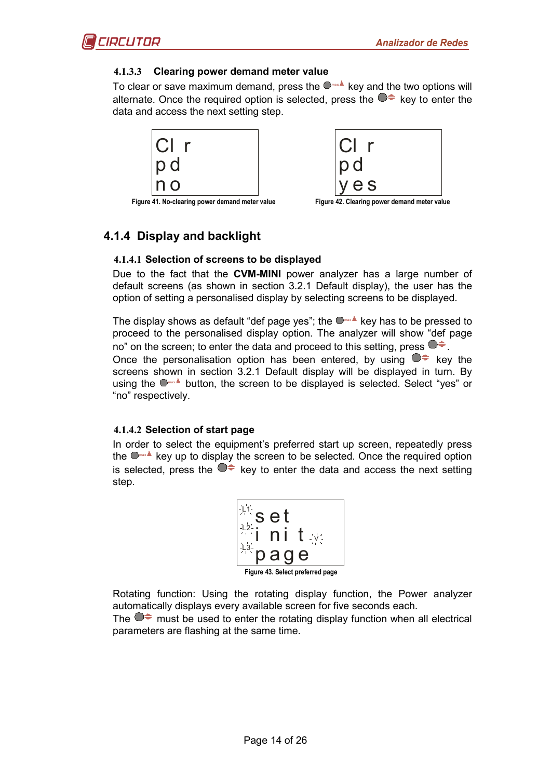#### <span id="page-13-0"></span>**4.1.3.3 Clearing power demand meter value**

To clear or save maximum demand, press the  $\Box$ **hax** key and the two options will alternate. Once the required option is selected, press the  $\bullet \bullet$  key to enter the data and access the next setting step.





**Figure 41. No-clearing power demand meter value Figure 42. Clearing power demand meter value**

# <span id="page-13-2"></span><span id="page-13-1"></span>**4.1.4 Display and backlight**

#### **4.1.4.1 Selection of screens to be displayed**

Due to the fact that the **CVM-MINI** power analyzer has a large number of default screens (as shown in section [3.2.1](#page-8-0) [Default display\)](#page-8-0), the user has the option of setting a personalised display by selecting screens to be displayed.

The display shows as default "def page yes"; the  $\Box$ **mx** key has to be pressed to proceed to the personalised display option. The analyzer will show "def page no" on the screen; to enter the data and proceed to this setting, press  $\bullet \bullet$ . Once the personalisation option has been entered, by using  $\bullet \leftarrow$  key the screens shown in section [3.2.1](#page-8-0) [Default display](#page-8-0) will be displayed in turn. By using the  $\bullet$ <sup>max</sup> button, the screen to be displayed is selected. Select "yes" or "no" respectively.

#### <span id="page-13-3"></span>**4.1.4.2 Selection of start page**

In order to select the equipment's preferred start up screen, repeatedly press the **max** key up to display the screen to be selected. Once the required option is selected, press the  $\bullet \bullet$  key to enter the data and access the next setting step.

| $\mathcal{F}_{\mathbf{q}}^{\mathbf{q}'}$<br>$\frac{1}{\sqrt{2}}\sum_{i=1}^{n}$ | e t<br>S                   |  |
|--------------------------------------------------------------------------------|----------------------------|--|
|                                                                                | L.<br>T<br>71<br>$\cdot$ . |  |
|                                                                                | a<br>е<br>Q                |  |

**Figure 43. Select preferred page**

Rotating function: Using the rotating display function, the Power analyzer automatically displays every available screen for five seconds each.

The  $\bullet\bullet$  must be used to enter the rotating display function when all electrical parameters are flashing at the same time.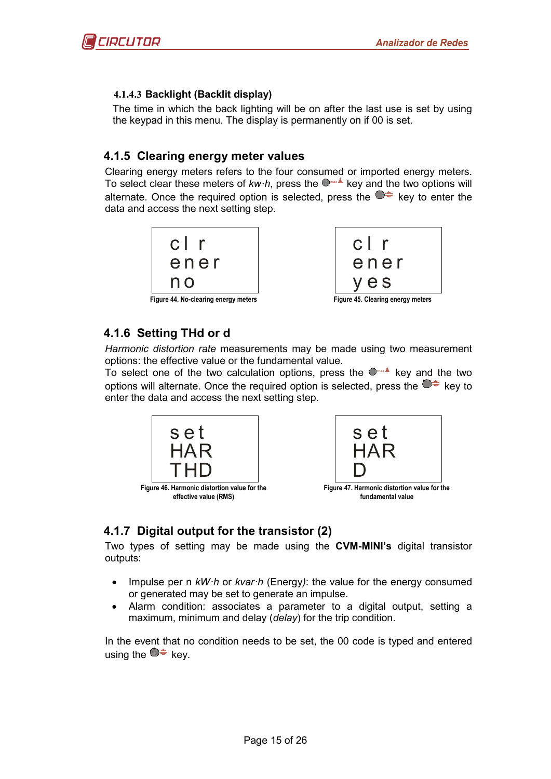#### <span id="page-14-0"></span>**4.1.4.3 Backlight (Backlit display)**

The time in which the back lighting will be on after the last use is set by using the keypad in this menu. The display is permanently on if 00 is set.

### <span id="page-14-1"></span>**4.1.5 Clearing energy meter values**

Clearing energy meters refers to the four consumed or imported energy meters. To select clear these meters of *kw·h*, press the  $\bullet$  key and the two options will alternate. Once the required option is selected, press the  $\bullet \bullet$  key to enter the data and access the next setting step.





# <span id="page-14-2"></span>**4.1.6 Setting THd or d**

*Harmonic distortion rate* measurements may be made using two measurement options: the effective value or the fundamental value.

To select one of the two calculation options, press the **max** key and the two options will alternate. Once the required option is selected, press the  $\bullet\bullet\bullet$  key to enter the data and access the next setting step.





**fundamental value**

# <span id="page-14-3"></span>**4.1.7 Digital output for the transistor (2)**

Two types of setting may be made using the **CVM-MINI's** digital transistor outputs:

- Impulse per n *kW·h* or *kvar·h* (Energy*)*: the value for the energy consumed or generated may be set to generate an impulse.
- Alarm condition: associates a parameter to a digital output, setting a maximum, minimum and delay (*delay*) for the trip condition.

In the event that no condition needs to be set, the 00 code is typed and entered using the  $\bullet \bullet$  key.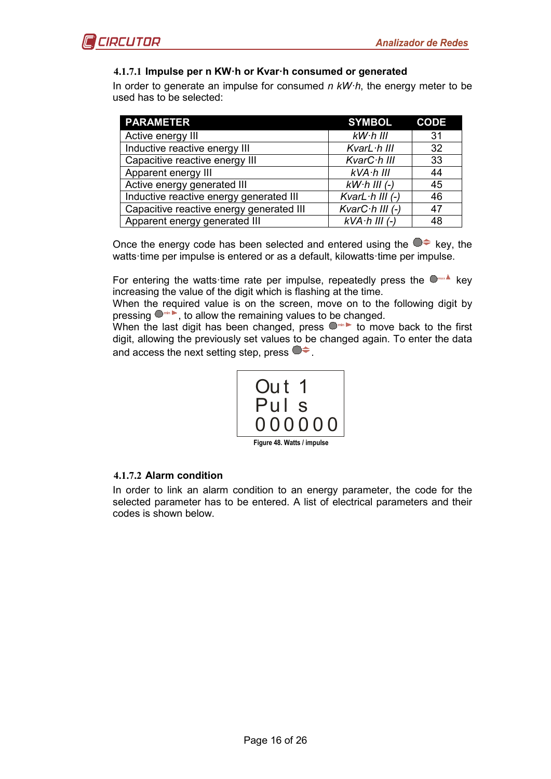#### <span id="page-15-0"></span>**4.1.7.1 Impulse per n KW·h or Kvar·h consumed or generated**

In order to generate an impulse for consumed *n kW·h*, the energy meter to be used has to be selected:

| <b>PARAMETER</b>                         | <b>SYMBOL</b>            | <b>CODE</b>     |
|------------------------------------------|--------------------------|-----------------|
| Active energy III                        | $kW$ $h$ $lll$           | 31              |
| Inductive reactive energy III            | KvarL $\cdot$ h III      | 32 <sup>°</sup> |
| Capacitive reactive energy III           | KvarC·h III              | 33              |
| Apparent energy III                      | $kVA·h$ III              | 44              |
| Active energy generated III              | $kW$ $h$ III (-)         | 45              |
| Inductive reactive energy generated III  | KvarL $\cdot$ h III (-)  | 46              |
| Capacitive reactive energy generated III | Kvar $C \cdot h$ III (-) | 47              |
| Apparent energy generated III            | $kVA \cdot h$ III $(-)$  | 48              |

Once the energy code has been selected and entered using the  $\bullet\bullet\bullet$  key, the watts·time per impulse is entered or as a default, kilowatts·time per impulse.

For entering the watts time rate per impulse, repeatedly press the  $\Box$ **max** key increasing the value of the digit which is flashing at the time.

When the required value is on the screen, move on to the following digit by pressing  $\bullet$ <sup>th</sup>, to allow the remaining values to be changed.

When the last digit has been changed, press  $\bullet$ <sup>th</sup> to move back to the first digit, allowing the previously set values to be changed again. To enter the data and access the next setting step, press  $\bullet\bullet$ .



**Figure 48. Watts / impulse**

#### <span id="page-15-1"></span>**4.1.7.2 Alarm condition**

In order to link an alarm condition to an energy parameter, the code for the selected parameter has to be entered. A list of electrical parameters and their codes is shown below.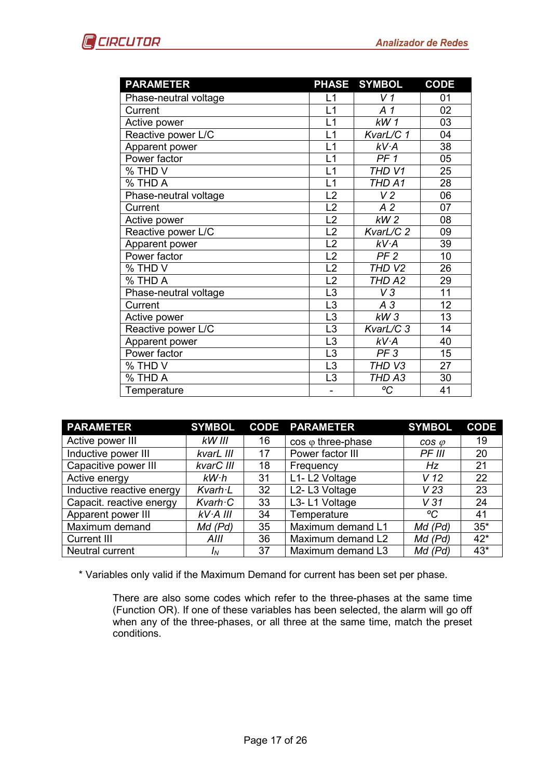| <b>PARAMETER</b>      |                 | PHASE SYMBOL      | <b>CODE</b>     |
|-----------------------|-----------------|-------------------|-----------------|
| Phase-neutral voltage | L1              | V <sub>1</sub>    | 01              |
| Current               | L1              | A <sub>1</sub>    | 02              |
| Active power          | L1              | kW1               | 03              |
| Reactive power L/C    | L1              | KvarL/C 1         | 04              |
| Apparent power        | L1              | kV·A              | 38              |
| Power factor          | L1              | PF <sub>1</sub>   | 05              |
| % THD V               | L1              | THD V1            | 25              |
| % THD A               | L1              | THD A1            | 28              |
| Phase-neutral voltage | L2              | V <sub>2</sub>    | 06              |
| Current               | L2              | A <sub>2</sub>    | 07              |
| Active power          | L2              | kW <sub>2</sub>   | 08              |
| Reactive power L/C    | L2              | KvarL/C 2         | 09              |
| Apparent power        | L2              | kV·A              | 39              |
| Power factor          | $\overline{L2}$ | PF <sub>2</sub>   | $\overline{10}$ |
| % THD V               | L2              | THD <sub>V2</sub> | 26              |
| % THD A               | L2              | THD A2            | 29              |
| Phase-neutral voltage | L <sub>3</sub>  | V3                | $\overline{11}$ |
| Current               | L <sub>3</sub>  | $A_3$             | 12              |
| Active power          | L <sub>3</sub>  | kW3               | 13              |
| Reactive power L/C    | L <sub>3</sub>  | KvarL/C 3         | 14              |
| Apparent power        | L3              | kV·A              | 40              |
| Power factor          | L <sub>3</sub>  | PF <sub>3</sub>   | 15              |
| % THD V               | L <sub>3</sub>  | THD V3            | 27              |
| % THD A               | L <sub>3</sub>  | THD A3            | 30              |
| Temperature           | ۰               | °C                | 41              |

| <b>PARAMETER</b>          | <b>SYMBOL</b>          |    | <b>CODE PARAMETER</b>      | <b>SYMBOL</b>   | <b>CODE</b> |
|---------------------------|------------------------|----|----------------------------|-----------------|-------------|
| Active power III          | kW III                 | 16 | $\cos \varphi$ three-phase | $cos \varphi$   | 19          |
| Inductive power III       | kvarL III              | 17 | Power factor III           | PF III          | 20          |
| Capacitive power III      | kvarC III              | 18 | Frequency                  | Hz              | 21          |
| Active energy             | kW·h                   | 31 | L1-L2 Voltage              | V <sub>12</sub> | 22          |
| Inductive reactive energy | $K \vee$ arh $\cdot L$ | 32 | L2-L3 Voltage              | V 23            | 23          |
| Capacit. reactive energy  | Kvarh C                | 33 | L3-L1 Voltage              | V <sub>31</sub> | 24          |
| Apparent power III        | kV·A III               | 34 | Temperature                | °C              | 41          |
| Maximum demand            | $Md$ ( $Pd$ )          | 35 | Maximum demand L1          | $Md$ ( $Pd$ )   | $35*$       |
| <b>Current III</b>        | AIII                   | 36 | Maximum demand L2          | $Md$ ( $Pd$ )   | $42*$       |
| Neutral current           | ΙN                     | 37 | Maximum demand L3          | Md (Pd)         | $43*$       |

\* Variables only valid if the Maximum Demand for current has been set per phase.

There are also some codes which refer to the three-phases at the same time (Function OR). If one of these variables has been selected, the alarm will go off when any of the three-phases, or all three at the same time, match the preset conditions.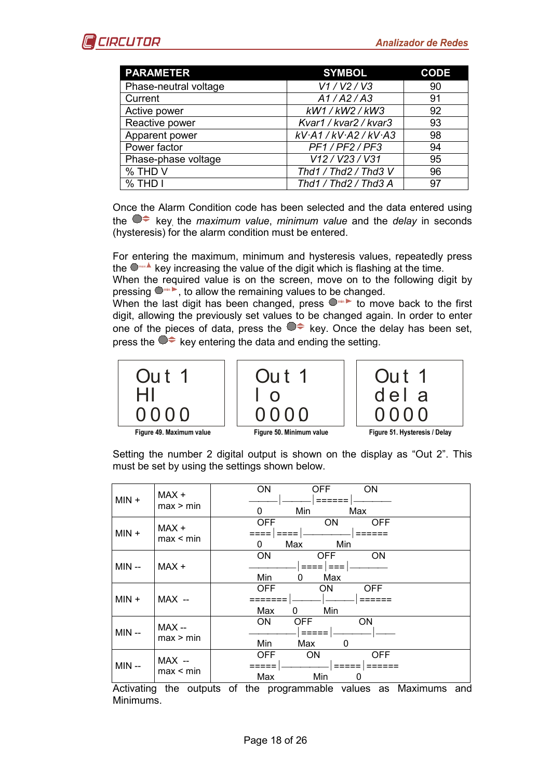| <b>PARAMETER</b>      | <b>SYMBOL</b>               | <b>CODE</b> |
|-----------------------|-----------------------------|-------------|
| Phase-neutral voltage | V1/V2/V3                    | 90          |
| Current               | A1/A2/A3                    | 91          |
| Active power          | kW1 / kW2 / kW3             | 92          |
| Reactive power        | Kvar1 / kvar2 / kvar3       | 93          |
| Apparent power        | $kV$ A1 / $kV$ A2 / $kV$ A3 | 98          |
| Power factor          | PF1/PF2/PF3                 | 94          |
| Phase-phase voltage   | V12 / V23 / V31             | 95          |
| % THD V               | Thd1 / Thd2 / Thd3 V        | 96          |
| % THD I               | Thd1 / Thd2 / Thd3 A        | 97          |

Once the Alarm Condition code has been selected and the data entered using the  $\bullet\neq$  key, the *maximum value*, *minimum value* and the *delay* in seconds (hysteresis) for the alarm condition must be entered.

For entering the maximum, minimum and hysteresis values, repeatedly press the **max** key increasing the value of the digit which is flashing at the time.

When the required value is on the screen, move on to the following digit by pressing **min** , to allow the remaining values to be changed.

When the last digit has been changed, press  $\bullet$  in to move back to the first digit, allowing the previously set values to be changed again. In order to enter one of the pieces of data, press the  $\bullet \bullet$  key. Once the delay has been set, press the  $\bullet\bullet$  key entering the data and ending the setting.







**Figure 49. Maximum value Figure 50. Minimum value Figure 51. Hysteresis / Delay**

Setting the number 2 digital output is shown on the display as "Out 2". This must be set by using the settings shown below.

| $MIN +$ | MAX +<br>max > min  | ON<br><b>ON</b><br><b>OFF</b><br>Min<br>Max<br>0                 |
|---------|---------------------|------------------------------------------------------------------|
| $MIN +$ | MAX +<br>max < min  | <b>OFF</b><br><b>ON</b><br><b>OFF</b><br>Min<br>Max<br>0         |
| MIN --  | MAX +               | ON<br>ON<br><b>OFF</b><br>$==$<br>Min<br>Max<br>0                |
| $MIN +$ | MAX --              | <b>OFF</b><br>OFF.<br>ON<br>Min<br>Max<br>0                      |
| $MIN -$ | MAX --<br>max > min | <b>ON</b><br><b>ON</b><br><b>OFF</b><br>Min<br>Max<br>0          |
| MIN --  | MAX --<br>max < min | <b>OFF</b><br><b>OFF</b><br><b>ON</b><br>====<br>Min<br>Max<br>0 |

Activating the outputs of the programmable values as Maximums and Minimums.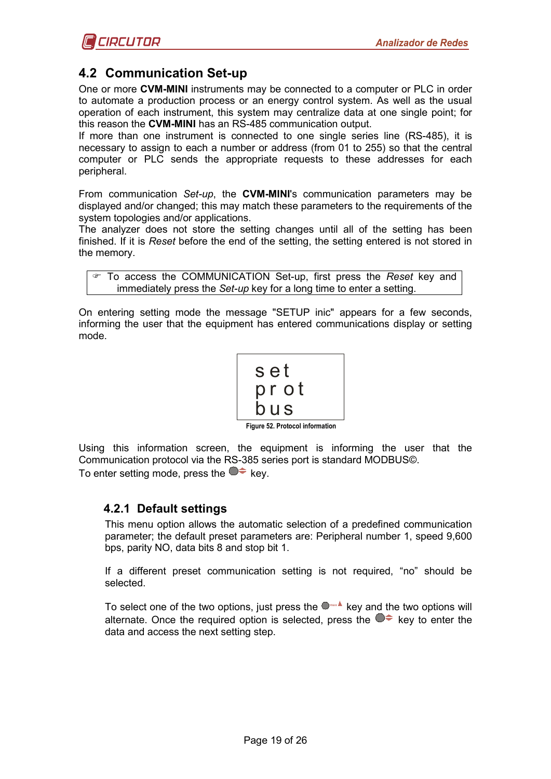# <span id="page-18-0"></span>**4.2 Communication Set-up**

One or more **CVM-MINI** instruments may be connected to a computer or PLC in order to automate a production process or an energy control system. As well as the usual operation of each instrument, this system may centralize data at one single point; for this reason the **CVM-MINI** has an RS-485 communication output.

If more than one instrument is connected to one single series line (RS-485), it is necessary to assign to each a number or address (from 01 to 255) so that the central computer or PLC sends the appropriate requests to these addresses for each peripheral.

From communication *Set-up*, the **CVM-MINI**'s communication parameters may be displayed and/or changed; this may match these parameters to the requirements of the system topologies and/or applications.

The analyzer does not store the setting changes until all of the setting has been finished. If it is *Reset* before the end of the setting, the setting entered is not stored in the memory.

```
 To access the COMMUNICATION Set-up, first press the Reset key and 
    immediately press the Set-up key for a long time to enter a setting.
```
On entering setting mode the message "SETUP inic" appears for a few seconds, informing the user that the equipment has entered communications display or setting mode.

$$
\left|\begin{array}{c} \texttt{set} \\ \texttt{prot} \\ \texttt{bus} \end{array}\right|
$$

**Figure 52. Protocol information**

Using this information screen, the equipment is informing the user that the Communication protocol via the RS-385 series port is standard MODBUS©. To enter setting mode, press the  $\bullet\neq$  key.

# <span id="page-18-1"></span>**4.2.1 Default settings**

This menu option allows the automatic selection of a predefined communication parameter; the default preset parameters are: Peripheral number 1, speed 9,600 bps, parity NO, data bits 8 and stop bit 1.

If a different preset communication setting is not required, "no" should be selected.

To select one of the two options, just press the  $\Box$ **xax** key and the two options will alternate. Once the required option is selected, press the  $\bullet \bullet$  key to enter the data and access the next setting step.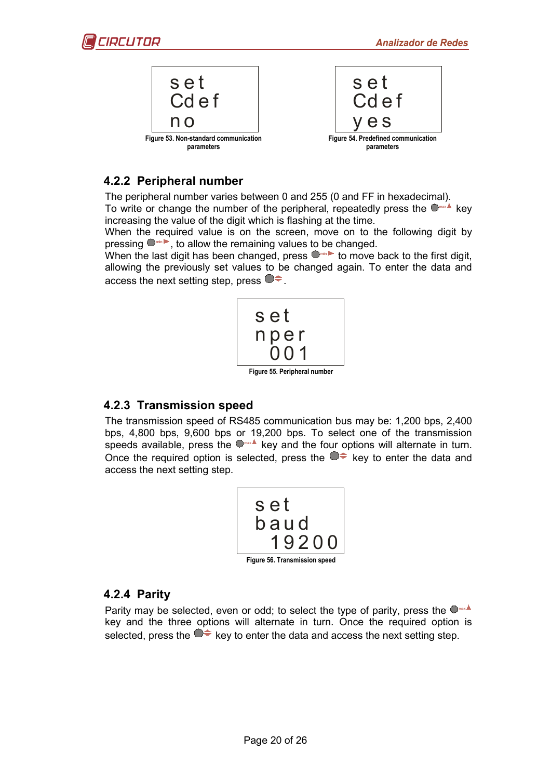

# <span id="page-19-0"></span>**4.2.2 Peripheral number**

The peripheral number varies between 0 and 255 (0 and FF in hexadecimal).

To write or change the number of the peripheral, repeatedly press the **max** key increasing the value of the digit which is flashing at the time.

When the required value is on the screen, move on to the following digit by pressing **min** , to allow the remaining values to be changed.

When the last digit has been changed, press  $\bullet$  to move back to the first digit, allowing the previously set values to be changed again. To enter the data and access the next setting step, press  $\bullet \bullet$ .



# <span id="page-19-1"></span>**4.2.3 Transmission speed**

The transmission speed of RS485 communication bus may be: 1,200 bps, 2,400 bps, 4,800 bps, 9,600 bps or 19,200 bps. To select one of the transmission speeds available, press the  $\Box$ <sup>xx4</sup> key and the four options will alternate in turn. Once the required option is selected, press the  $\bullet \bullet$  key to enter the data and access the next setting step.

| set                           |  |  |  |  |
|-------------------------------|--|--|--|--|
| baud                          |  |  |  |  |
| 19200                         |  |  |  |  |
| Figure 56. Transmission speed |  |  |  |  |

# <span id="page-19-2"></span>**4.2.4 Parity**

Parity may be selected, even or odd; to select the type of parity, press the  $\bullet$ key and the three options will alternate in turn. Once the required option is selected, press the  $\bullet \bullet$  key to enter the data and access the next setting step.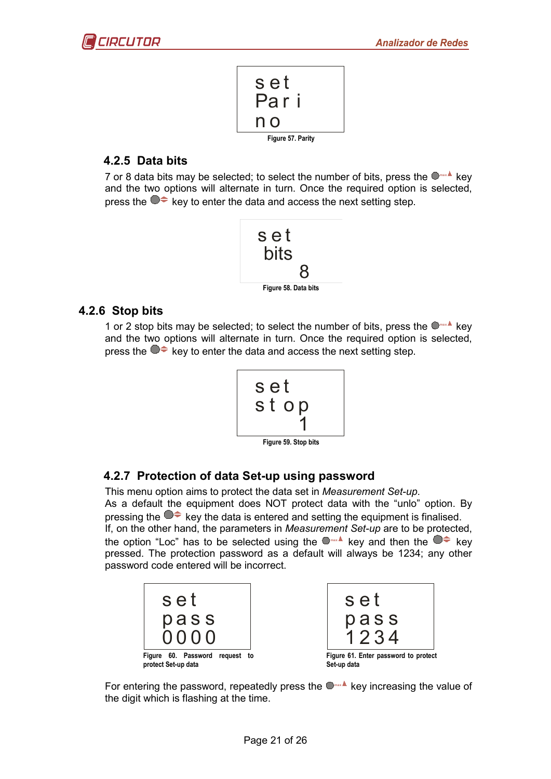$$
\begin{array}{c}\nS e t \\
P a r i \\
\hline\n\text{log} \\
\hline\n\text{Figure 57. Parity}\n\end{array}
$$

# <span id="page-20-0"></span>**4.2.5 Data bits**

7 or 8 data bits may be selected; to select the number of bits, press the  $\Box$ **mx** key and the two options will alternate in turn. Once the required option is selected, press the  $\bullet \bullet$  key to enter the data and access the next setting step.



### <span id="page-20-1"></span>**4.2.6 Stop bits**

1 or 2 stop bits may be selected; to select the number of bits, press the  $\bigcirc^{\text{max}}$  key and the two options will alternate in turn. Once the required option is selected, press the  $\bullet \bullet$  key to enter the data and access the next setting step.

$$
\left\lceil \begin{array}{c} \texttt{set} \\ \texttt{stop} \\ 1 \end{array} \right\rceil
$$

**Figure 59. Stop bits**

# <span id="page-20-2"></span>**4.2.7 Protection of data Set-up using password**

This menu option aims to protect the data set in *Measurement Set-up*. As a default the equipment does NOT protect data with the "unlo" option. By pressing the  $\bullet\bullet$  key the data is entered and setting the equipment is finalised. If, on the other hand, the parameters in *Measurement Set-up* are to be protected, the option "Loc" has to be selected using the  $\bullet$  key and then the  $\bullet \bullet$  key pressed. The protection password as a default will always be 1234; any other password code entered will be incorrect.



For entering the password, repeatedly press the  $\Box$ **Rook Assuments** the value of the digit which is flashing at the time.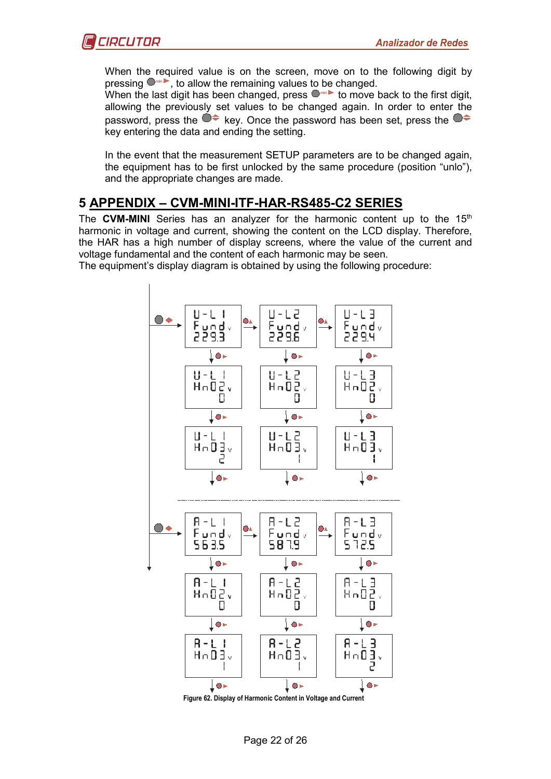

When the required value is on the screen, move on to the following digit by pressing  $\bullet$  in  $\bullet$ , to allow the remaining values to be changed.

When the last digit has been changed, press  $\bullet$  **in the move back to the first digit,** allowing the previously set values to be changed again. In order to enter the password, press the  $\bullet \bullet$  key. Once the password has been set, press the  $\bullet \bullet$ key entering the data and ending the setting.

In the event that the measurement SETUP parameters are to be changed again, the equipment has to be first unlocked by the same procedure (position "unlo"), and the appropriate changes are made.

# <span id="page-21-0"></span>**5 APPENDIX – CVM-MINI-ITF-HAR-RS485-C2 SERIES**

The **CVM-MINI** Series has an analyzer for the harmonic content up to the 15<sup>th</sup> harmonic in voltage and current, showing the content on the LCD display. Therefore, the HAR has a high number of display screens, where the value of the current and voltage fundamental and the content of each harmonic may be seen.

The equipment's display diagram is obtained by using the following procedure:



**Figure 62. Display of Harmonic Content in Voltage and Current**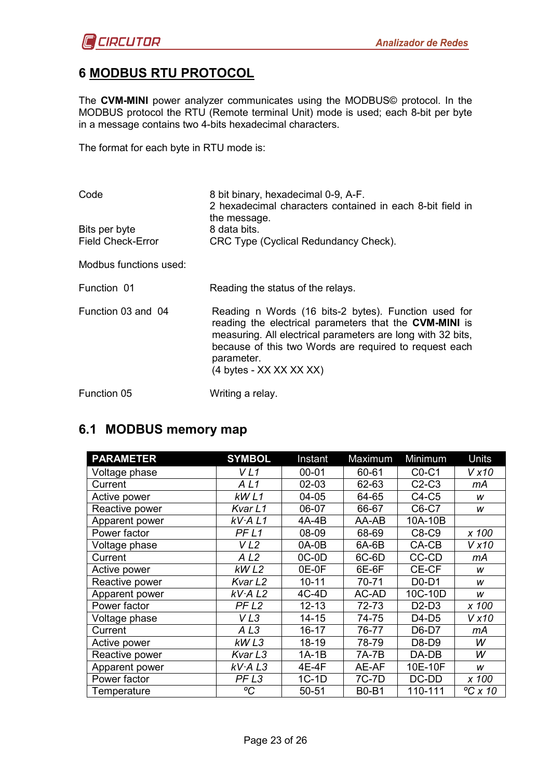# <span id="page-22-0"></span>**6 MODBUS RTU PROTOCOL**

The **CVM-MINI** power analyzer communicates using the MODBUS© protocol. In the MODBUS protocol the RTU (Remote terminal Unit) mode is used; each 8-bit per byte in a message contains two 4-bits hexadecimal characters.

The format for each byte in RTU mode is:

| Code                                      | 8 bit binary, hexadecimal 0-9, A-F.<br>2 hexadecimal characters contained in each 8-bit field in<br>the message.                                                                                                                                                                           |  |  |  |  |
|-------------------------------------------|--------------------------------------------------------------------------------------------------------------------------------------------------------------------------------------------------------------------------------------------------------------------------------------------|--|--|--|--|
| Bits per byte<br><b>Field Check-Error</b> | 8 data bits.<br>CRC Type (Cyclical Redundancy Check).                                                                                                                                                                                                                                      |  |  |  |  |
| Modbus functions used:                    |                                                                                                                                                                                                                                                                                            |  |  |  |  |
| Function 01                               | Reading the status of the relays.                                                                                                                                                                                                                                                          |  |  |  |  |
| Function 03 and 04                        | Reading n Words (16 bits-2 bytes). Function used for<br>reading the electrical parameters that the CVM-MINI is<br>measuring. All electrical parameters are long with 32 bits,<br>because of this two Words are required to request each<br>parameter.<br>$(4 \text{ bytes} - XX XX XX XX)$ |  |  |  |  |
| Function 05                               | Writing a relay.                                                                                                                                                                                                                                                                           |  |  |  |  |

# <span id="page-22-1"></span>**6.1 MODBUS memory map**

| <b>PARAMETER</b> | <b>SYMBOL</b>       | Instant   | Maximum      | Minimum                        | Units            |
|------------------|---------------------|-----------|--------------|--------------------------------|------------------|
| Voltage phase    | V <sub>L1</sub>     | $00 - 01$ | 60-61        | $CO-C1$                        | Vx10             |
| Current          | ALI                 | $02 - 03$ | 62-63        | $C2-C3$                        | mА               |
| Active power     | kWL1                | 04-05     | 64-65        | $C4-C5$                        | W                |
| Reactive power   | Kvar L1             | 06-07     | 66-67        | C6-C7                          | w                |
| Apparent power   | kV·A L1             | 4A-4B     | AA-AB        | 10A-10B                        |                  |
| Power factor     | PF <sub>L1</sub>    | 08-09     | 68-69        | C8-C9                          | x 100            |
| Voltage phase    | VL2                 | $0A-0B$   | 6A-6B        | CA-CB                          | V x 10           |
| Current          | AL <sub>2</sub>     | $OC-OD$   | 6C-6D        | CC-CD                          | mА               |
| Active power     | kWL2                | 0E-0F     | 6E-6F        | CE-CF                          | W                |
| Reactive power   | Kvar L <sub>2</sub> | $10 - 11$ | 70-71        | $D0-D1$                        | W                |
| Apparent power   | kV·A L2             | $4C-4D$   | AC-AD        | 10C-10D                        | w                |
| Power factor     | PF <sub>L2</sub>    | $12 - 13$ | 72-73        | D <sub>2</sub> -D <sub>3</sub> | x 100            |
| Voltage phase    | VL3                 | $14 - 15$ | 74-75        | $D4-D5$                        | V x 10           |
| Current          | A <sub>L3</sub>     | $16 - 17$ | 76-77        | D6-D7                          | mА               |
| Active power     | kWL3                | 18-19     | 78-79        | D8-D9                          | W                |
| Reactive power   | Kvar L3             | $1A-1B$   | 7A-7B        | DA-DB                          | W                |
| Apparent power   | kV·A L3             | 4E-4F     | AE-AF        | 10E-10F                        | W                |
| Power factor     | PF <sub>L3</sub>    | 1C-1D     | 7C-7D        | DC-DD                          | x 100            |
| Temperature      | $\rm ^oC$           | 50-51     | <b>B0-B1</b> | 110-111                        | $\degree$ C x 10 |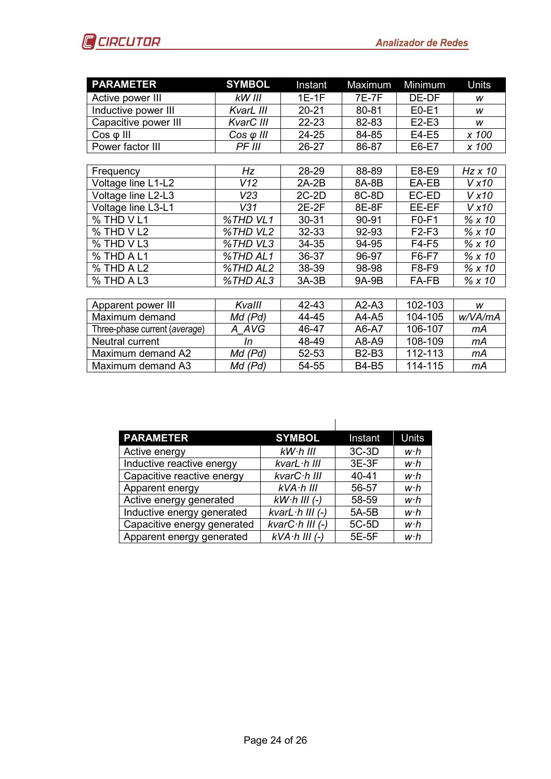

| <b>PARAMETER</b>     | <b>SYMBOL</b>     | Instant   | Maximum      | Minimum | Units          |  |  |
|----------------------|-------------------|-----------|--------------|---------|----------------|--|--|
| Active power III     | kW III            | $1E-1F$   | <b>7E-7F</b> | DE-DF   | w              |  |  |
| Inductive power III  | KvarL III         | $20 - 21$ | 80-81        | $E0-E1$ | W              |  |  |
| Capacitive power III | KvarC III         | 22-23     | 82-83        | $E2-E3$ | W              |  |  |
| $Cos \varphi$ III    | $Cos \varphi$ III | 24-25     | 84-85        | E4-E5   | x 100          |  |  |
| Power factor III     | PF III            | 26-27     | 86-87        | E6-E7   | x 100          |  |  |
|                      |                   |           |              |         |                |  |  |
| Frequency            | Hz                | 28-29     | 88-89        | E8-E9   | $Hz \times 10$ |  |  |
| Voltage line L1-L2   | V12               | $2A-2B$   | 8A-8B        | EA-EB   | V x 10         |  |  |
| Voltage line L2-L3   | V23               | $2C-2D$   | 8C-8D        | EC-ED   | V x 10         |  |  |
| Voltage line L3-L1   | V31               | $2E-2F$   | 8E-8F        | EE-EF   | V x 10         |  |  |
| % THD VL1            | %THD VL1          | 30-31     | $90 - 91$    | $F0-F1$ | % x10          |  |  |
| % THD V L2           | %THD VL2          | 32-33     | 92-93        | F2-F3   | % x 10         |  |  |
| % THD VL3            | %THD VL3          | 34-35     | 94-95        | $F4-F5$ | %x10           |  |  |
| % THD A L1           | %THD AL1          | 36-37     | 96-97        | $F6-F7$ | % x10          |  |  |
| % THD A L2           | %THD AL2          | 38-39     | 98-98        | F8-F9   | %x10           |  |  |
| % THD A L3           | %THD AL3          | $3A-3B$   | 9A-9B        | FA-FB   | % x 10         |  |  |
|                      |                   |           |              |         |                |  |  |
| Apparent power III   | Kvalll            | 42-43     | $A2-A3$      | 102-103 | W              |  |  |
| Maximum demand       | Md (Pd)           | 44-45     | A4-A5        | 104-105 | w/VA/mA        |  |  |
|                      |                   |           |              |         |                |  |  |

| Maximum demand                | Ma (Pa) | 44-45 | A4-A5        | 104-105 | w/VA/mA |
|-------------------------------|---------|-------|--------------|---------|---------|
| Three-phase current (average) | A AVG   | 46-47 | A6-A7        | 106-107 | mА      |
| Neutral current               |         | 48-49 | A8-A9        | 108-109 | mА      |
| Maximum demand A2             | Md (Pd) | 52-53 | <b>B2-B3</b> | 112-113 | mА      |
| Maximum demand A3             | Md (Pd) | 54-55 | <b>B4-B5</b> | 114-115 | mА      |

| <b>PARAMETER</b>            | <b>SYMBOL</b>            | Instant   | <b>Units</b> |
|-----------------------------|--------------------------|-----------|--------------|
| Active energy               | $kW$ $h$ $lll$           | $3C-3D$   | w∙h          |
| Inductive reactive energy   | kvarL·h III              | $3E-3F$   | w∙h          |
| Capacitive reactive energy  | kvarC·h III              | $40 - 41$ | w∙h          |
| Apparent energy             | $kVA$ $h$ $III$          | 56-57     | w∙h          |
| Active energy generated     | $kW·h$ III (-)           | 58-59     | w∙h          |
| Inductive energy generated  | kvarL $\cdot$ h III (-)  | 5A-5B     | w∙h          |
| Capacitive energy generated | kvar $C \cdot h$ III (-) | 5C-5D     | w∙h          |
| Apparent energy generated   | $kVA$ $h$ III $(-)$      | 5E-5F     | w∙h          |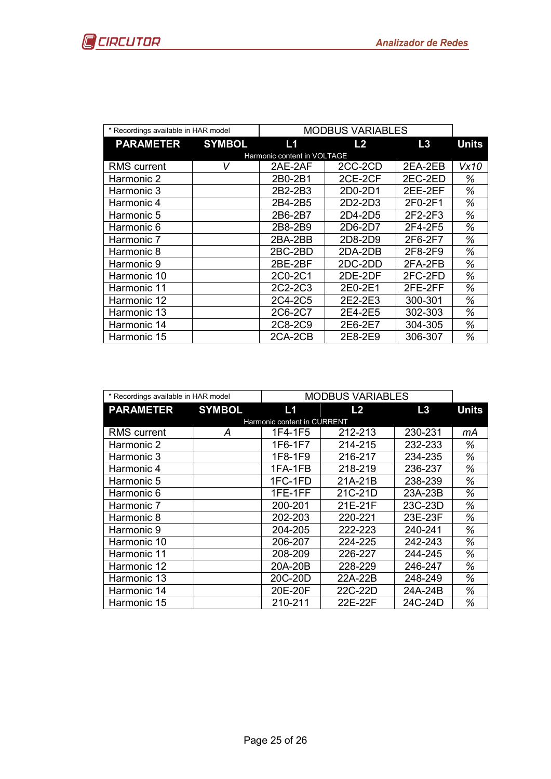|                             | * Recordings available in HAR model |         | <b>MODBUS VARIABLES</b> |         |              |  |
|-----------------------------|-------------------------------------|---------|-------------------------|---------|--------------|--|
| <b>PARAMETER</b>            | <b>SYMBOL</b>                       | L1      | L <sub>2</sub>          | L3      | <b>Units</b> |  |
| Harmonic content in VOLTAGE |                                     |         |                         |         |              |  |
| <b>RMS</b> current          | v                                   | 2AE-2AF | 2CC-2CD                 | 2EA-2EB | Vx10         |  |
| Harmonic 2                  |                                     | 2B0-2B1 | 2CE-2CF                 | 2EC-2ED | ℅            |  |
| Harmonic 3                  |                                     | 2B2-2B3 | 2D0-2D1                 | 2EE-2EF | ℅            |  |
| Harmonic 4                  |                                     | 2B4-2B5 | 2D2-2D3                 | 2F0-2F1 | %            |  |
| Harmonic 5                  |                                     | 2B6-2B7 | 2D4-2D5                 | 2F2-2F3 | ℅            |  |
| Harmonic 6                  |                                     | 2B8-2B9 | 2D6-2D7                 | 2F4-2F5 | ℅            |  |
| Harmonic 7                  |                                     | 2BA-2BB | 2D8-2D9                 | 2F6-2F7 | ℅            |  |
| Harmonic 8                  |                                     | 2BC-2BD | 2DA-2DB                 | 2F8-2F9 | ℅            |  |
| Harmonic 9                  |                                     | 2BE-2BF | 2DC-2DD                 | 2FA-2FB | ℅            |  |
| Harmonic 10                 |                                     | 2C0-2C1 | 2DE-2DF                 | 2FC-2FD | ℅            |  |
| Harmonic 11                 |                                     | 2C2-2C3 | 2E0-2E1                 | 2FE-2FF | ℅            |  |
| Harmonic 12                 |                                     | 2C4-2C5 | 2E2-2E3                 | 300-301 | %            |  |
| Harmonic 13                 |                                     | 2C6-2C7 | 2E4-2E5                 | 302-303 | ℅            |  |
| Harmonic 14                 |                                     | 2C8-2C9 | 2E6-2E7                 | 304-305 | ℅            |  |
| Harmonic 15                 |                                     | 2CA-2CB | 2E8-2E9                 | 306-307 | %            |  |

| * Recordings available in HAR model |               | <b>MODBUS VARIABLES</b>     |         |         |              |
|-------------------------------------|---------------|-----------------------------|---------|---------|--------------|
| <b>PARAMETER</b>                    | <b>SYMBOL</b> | L1                          | L2      | L3      | <b>Units</b> |
|                                     |               | Harmonic content in CURRENT |         |         |              |
| <b>RMS</b> current                  | A             | 1F4-1F5                     | 212-213 | 230-231 | mА           |
| Harmonic 2                          |               | 1F6-1F7                     | 214-215 | 232-233 | %            |
| Harmonic 3                          |               | 1F8-1F9                     | 216-217 | 234-235 | ℅            |
| Harmonic 4                          |               | 1FA-1FB                     | 218-219 | 236-237 | ℅            |
| Harmonic 5                          |               | 1FC-1FD                     | 21A-21B | 238-239 | ℅            |
| Harmonic 6                          |               | 1FE-1FF                     | 21C-21D | 23A-23B | %            |
| Harmonic 7                          |               | 200-201                     | 21E-21F | 23C-23D | %            |
| Harmonic 8                          |               | 202-203                     | 220-221 | 23E-23F | %            |
| Harmonic 9                          |               | 204-205                     | 222-223 | 240-241 | %            |
| Harmonic 10                         |               | 206-207                     | 224-225 | 242-243 | %            |
| Harmonic 11                         |               | 208-209                     | 226-227 | 244-245 | %            |
| Harmonic 12                         |               | 20A-20B                     | 228-229 | 246-247 | %            |
| Harmonic 13                         |               | 20C-20D                     | 22A-22B | 248-249 | %            |
| Harmonic 14                         |               | 20E-20F                     | 22C-22D | 24A-24B | %            |
| Harmonic 15                         |               | 210-211                     | 22E-22F | 24C-24D | %            |